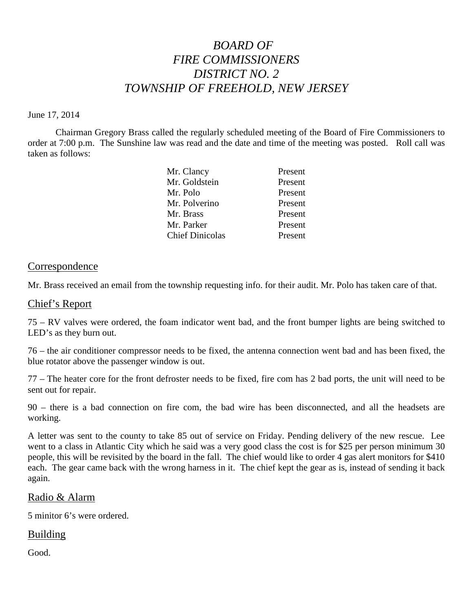# *BOARD OF FIRE COMMISSIONERS DISTRICT NO. 2 TOWNSHIP OF FREEHOLD, NEW JERSEY*

#### June 17, 2014

Chairman Gregory Brass called the regularly scheduled meeting of the Board of Fire Commissioners to order at 7:00 p.m. The Sunshine law was read and the date and time of the meeting was posted. Roll call was taken as follows:

| Mr. Clancy             | Present |
|------------------------|---------|
| Mr. Goldstein          | Present |
| Mr. Polo               | Present |
| Mr. Polverino          | Present |
| Mr. Brass              | Present |
| Mr. Parker             | Present |
| <b>Chief Dinicolas</b> | Present |

#### **Correspondence**

Mr. Brass received an email from the township requesting info. for their audit. Mr. Polo has taken care of that.

#### Chief's Report

75 – RV valves were ordered, the foam indicator went bad, and the front bumper lights are being switched to LED's as they burn out.

76 – the air conditioner compressor needs to be fixed, the antenna connection went bad and has been fixed, the blue rotator above the passenger window is out.

77 – The heater core for the front defroster needs to be fixed, fire com has 2 bad ports, the unit will need to be sent out for repair.

90 – there is a bad connection on fire com, the bad wire has been disconnected, and all the headsets are working.

A letter was sent to the county to take 85 out of service on Friday. Pending delivery of the new rescue. Lee went to a class in Atlantic City which he said was a very good class the cost is for \$25 per person minimum 30 people, this will be revisited by the board in the fall. The chief would like to order 4 gas alert monitors for \$410 each. The gear came back with the wrong harness in it. The chief kept the gear as is, instead of sending it back again.

#### Radio & Alarm

5 minitor 6's were ordered.

# **Building**

Good.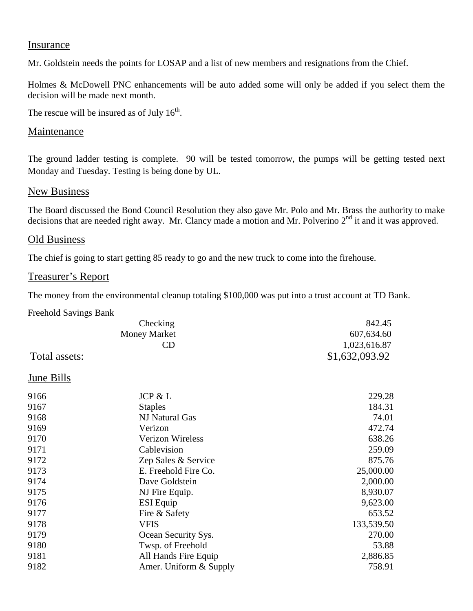# Insurance

Mr. Goldstein needs the points for LOSAP and a list of new members and resignations from the Chief.

Holmes & McDowell PNC enhancements will be auto added some will only be added if you select them the decision will be made next month.

The rescue will be insured as of July  $16<sup>th</sup>$ .

# **Maintenance**

The ground ladder testing is complete. 90 will be tested tomorrow, the pumps will be getting tested next Monday and Tuesday. Testing is being done by UL.

# **New Business**

The Board discussed the Bond Council Resolution they also gave Mr. Polo and Mr. Brass the authority to make decisions that are needed right away. Mr. Clancy made a motion and Mr. Polverino 2<sup>nd</sup> it and it was approved.

# Old Business

The chief is going to start getting 85 ready to go and the new truck to come into the firehouse.

# Treasurer's Report

The money from the environmental cleanup totaling \$100,000 was put into a trust account at TD Bank.

| <b>Freehold Savings Bank</b> |                         |                |
|------------------------------|-------------------------|----------------|
|                              | Checking                | 842.45         |
|                              | <b>Money Market</b>     | 607,634.60     |
|                              | CD                      | 1,023,616.87   |
| Total assets:                |                         | \$1,632,093.92 |
| June Bills                   |                         |                |
| 9166                         | JCP & L                 | 229.28         |
| 9167                         | <b>Staples</b>          | 184.31         |
| 9168                         | NJ Natural Gas          | 74.01          |
| 9169                         | Verizon                 | 472.74         |
| 9170                         | <b>Verizon Wireless</b> | 638.26         |
| 9171                         | Cablevision             | 259.09         |
| 9172                         | Zep Sales & Service     | 875.76         |
| 9173                         | E. Freehold Fire Co.    | 25,000.00      |
| 9174                         | Dave Goldstein          | 2,000.00       |
| 9175                         | NJ Fire Equip.          | 8,930.07       |
| 9176                         | <b>ESI</b> Equip        | 9,623.00       |
| 9177                         | Fire & Safety           | 653.52         |
| 9178                         | <b>VFIS</b>             | 133,539.50     |
| 9179                         | Ocean Security Sys.     | 270.00         |
| 9180                         | Twsp. of Freehold       | 53.88          |
| 9181                         | All Hands Fire Equip    | 2,886.85       |
| 9182                         | Amer. Uniform & Supply  | 758.91         |